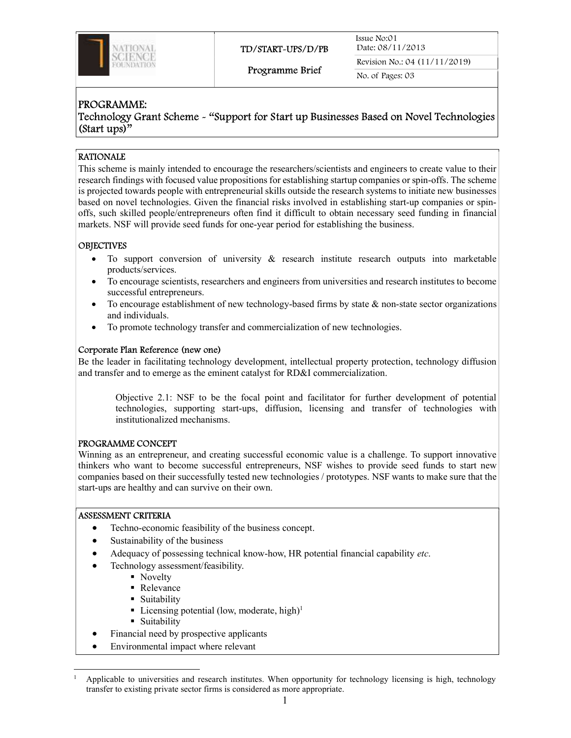

Issue No:01 Date: 08/11/2013 Revision No.: 04 (11/11/2019)

Programme Brief

No. of Pages: 03

# PROGRAMME:

Technology Grant Scheme - "Support for Start up Businesses Based on Novel Technologies (Start ups)"

## RATIONALE

This scheme is mainly intended to encourage the researchers/scientists and engineers to create value to their research findings with focused value propositions for establishing startup companies or spin-offs. The scheme is projected towards people with entrepreneurial skills outside the research systems to initiate new businesses based on novel technologies. Given the financial risks involved in establishing start-up companies or spinoffs, such skilled people/entrepreneurs often find it difficult to obtain necessary seed funding in financial markets. NSF will provide seed funds for one-year period for establishing the business.

## **OBJECTIVES**

- To support conversion of university & research institute research outputs into marketable products/services.
- To encourage scientists, researchers and engineers from universities and research institutes to become successful entrepreneurs.
- To encourage establishment of new technology-based firms by state  $\&$  non-state sector organizations and individuals.
- To promote technology transfer and commercialization of new technologies.

## Corporate Plan Reference (new one)

Be the leader in facilitating technology development, intellectual property protection, technology diffusion and transfer and to emerge as the eminent catalyst for RD&I commercialization.

Objective 2.1: NSF to be the focal point and facilitator for further development of potential technologies, supporting start-ups, diffusion, licensing and transfer of technologies with institutionalized mechanisms.

## PROGRAMME CONCEPT

Winning as an entrepreneur, and creating successful economic value is a challenge. To support innovative thinkers who want to become successful entrepreneurs, NSF wishes to provide seed funds to start new companies based on their successfully tested new technologies / prototypes. NSF wants to make sure that the start-ups are healthy and can survive on their own.

#### ASSESSMENT CRITERIA

- Techno-economic feasibility of the business concept.
- Sustainability of the business
- Adequacy of possessing technical know-how, HR potential financial capability etc.
	- Technology assessment/feasibility.
		- Novelty
		- Relevance
		- **Suitability**
		- Licensing potential (low, moderate, high)<sup>1</sup>
		- **Suitability**
- Financial need by prospective applicants
- Environmental impact where relevant

<sup>1</sup> Applicable to universities and research institutes. When opportunity for technology licensing is high, technology transfer to existing private sector firms is considered as more appropriate.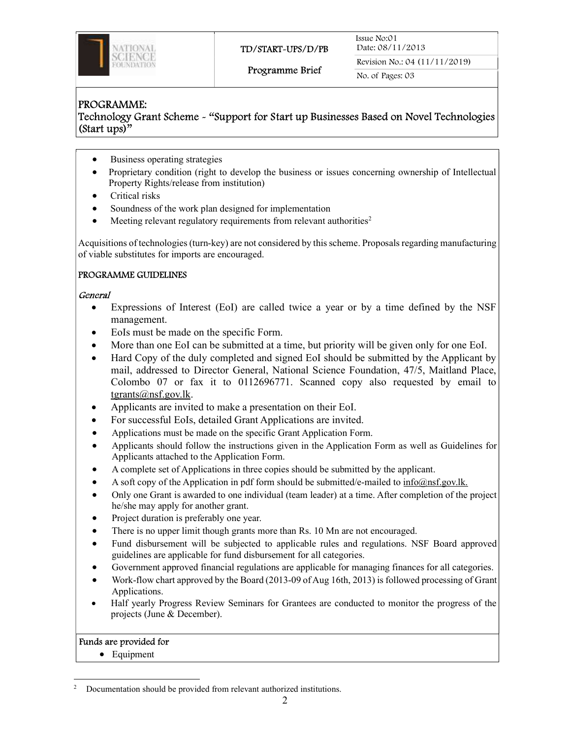

#### Programme Brief

Revision No.: 04 (11/11/2019) No. of Pages: 03

# PROGRAMME:

Technology Grant Scheme - "Support for Start up Businesses Based on Novel Technologies (Start ups)"

- Business operating strategies
- Proprietary condition (right to develop the business or issues concerning ownership of Intellectual Property Rights/release from institution)
- Critical risks
- Soundness of the work plan designed for implementation
- Meeting relevant regulatory requirements from relevant authorities<sup>2</sup>

Acquisitions of technologies (turn-key) are not considered by this scheme. Proposals regarding manufacturing of viable substitutes for imports are encouraged.

# PROGRAMME GUIDELINES

#### General

- Expressions of Interest (EoI) are called twice a year or by a time defined by the NSF management.
- EoIs must be made on the specific Form.
- More than one EoI can be submitted at a time, but priority will be given only for one EoI.
- Hard Copy of the duly completed and signed EoI should be submitted by the Applicant by mail, addressed to Director General, National Science Foundation, 47/5, Maitland Place, Colombo 07 or fax it to 0112696771. Scanned copy also requested by email to tgrants@nsf.gov.lk.
- Applicants are invited to make a presentation on their EoI.
- For successful EoIs, detailed Grant Applications are invited.
- Applications must be made on the specific Grant Application Form.
- Applicants should follow the instructions given in the Application Form as well as Guidelines for Applicants attached to the Application Form.
- A complete set of Applications in three copies should be submitted by the applicant.
- A soft copy of the Application in pdf form should be submitted/e-mailed to  $inf_{\alpha}$  info $\alpha$ nsf.gov.lk.
- Only one Grant is awarded to one individual (team leader) at a time. After completion of the project he/she may apply for another grant.
- Project duration is preferably one year.
- There is no upper limit though grants more than Rs. 10 Mn are not encouraged.
- Fund disbursement will be subjected to applicable rules and regulations. NSF Board approved guidelines are applicable for fund disbursement for all categories.
- Government approved financial regulations are applicable for managing finances for all categories.
- Work-flow chart approved by the Board (2013-09 of Aug 16th, 2013) is followed processing of Grant Applications.
- Half yearly Progress Review Seminars for Grantees are conducted to monitor the progress of the projects (June & December).

## Funds are provided for

• Equipment

<sup>2</sup> Documentation should be provided from relevant authorized institutions.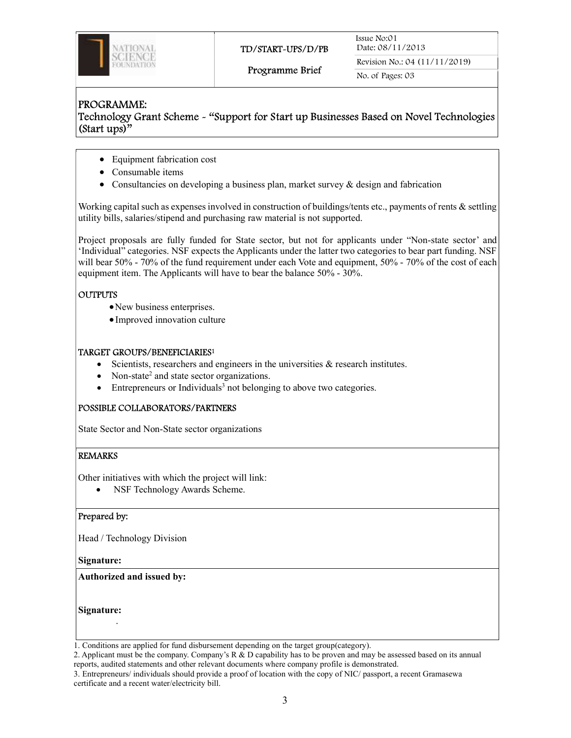

Revision No.: 04 (11/11/2019) No. of Pages: 03

## PROGRAMME: Technology Grant Scheme - "Support for Start up Businesses Based on Novel Technologies (Start ups)"

- Equipment fabrication cost
- Consumable items
- Consultancies on developing a business plan, market survey & design and fabrication

Working capital such as expenses involved in construction of buildings/tents etc., payments of rents & settling utility bills, salaries/stipend and purchasing raw material is not supported.

Project proposals are fully funded for State sector, but not for applicants under "Non-state sector' and 'Individual" categories. NSF expects the Applicants under the latter two categories to bear part funding. NSF will bear 50% - 70% of the fund requirement under each Vote and equipment, 50% - 70% of the cost of each equipment item. The Applicants will have to bear the balance 50% - 30%.

## **OUTPUTS**

- New business enterprises.
- Improved innovation culture

#### TARGET GROUPS/BENEFICIARIES<sup>1</sup>

- Scientists, researchers and engineers in the universities  $\&$  research institutes.
- Non-state<sup>2</sup> and state sector organizations.
- $\bullet$  Entrepreneurs or Individuals<sup>3</sup> not belonging to above two categories.

## POSSIBLE COLLABORATORS/PARTNERS

State Sector and Non-State sector organizations

#### REMARKS

Other initiatives with which the project will link:

NSF Technology Awards Scheme.

#### Prepared by:

Head / Technology Division

Signature:

Authorized and issued by:

Signature:

.

2. Applicant must be the company. Company's R & D capability has to be proven and may be assessed based on its annual reports, audited statements and other relevant documents where company profile is demonstrated.

<sup>1.</sup> Conditions are applied for fund disbursement depending on the target group(category).

<sup>3.</sup> Entrepreneurs/ individuals should provide a proof of location with the copy of NIC/ passport, a recent Gramasewa certificate and a recent water/electricity bill.